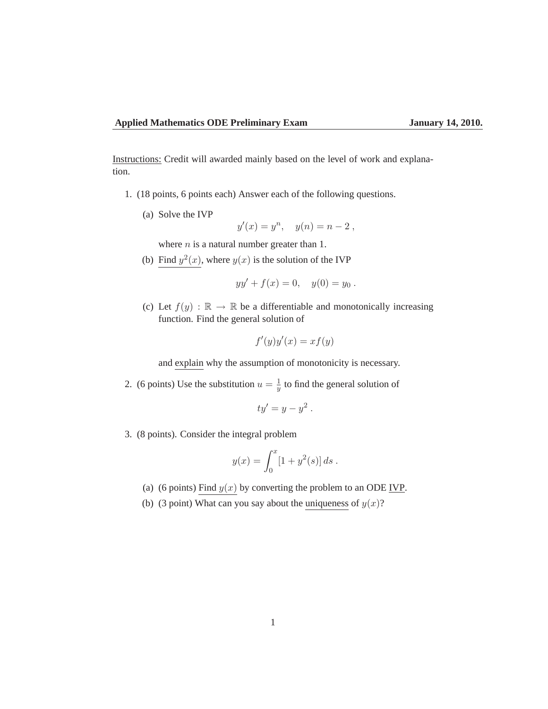Instructions: Credit will awarded mainly based on the level of work and explanation.

- 1. (18 points, 6 points each) Answer each of the following questions.
	- (a) Solve the IVP

$$
y'(x) = y^n, \quad y(n) = n - 2,
$$

where  $n$  is a natural number greater than 1.

(b) Find  $y^2(x)$ , where  $y(x)$  is the solution of the IVP

$$
yy' + f(x) = 0, \quad y(0) = y_0.
$$

(c) Let  $f(y) : \mathbb{R} \to \mathbb{R}$  be a differentiable and monotonically increasing function. Find the general solution of

$$
f'(y)y'(x) = xf(y)
$$

and explain why the assumption of monotonicity is necessary.

2. (6 points) Use the substitution  $u = \frac{1}{u}$  $\frac{1}{y}$  to find the general solution of

$$
ty'=y-y^2.
$$

3. (8 points). Consider the integral problem

$$
y(x) = \int_0^x [1 + y^2(s)] ds.
$$

- (a) (6 points) Find  $y(x)$  by converting the problem to an ODE IVP.
- (b) (3 point) What can you say about the uniqueness of  $y(x)$ ?